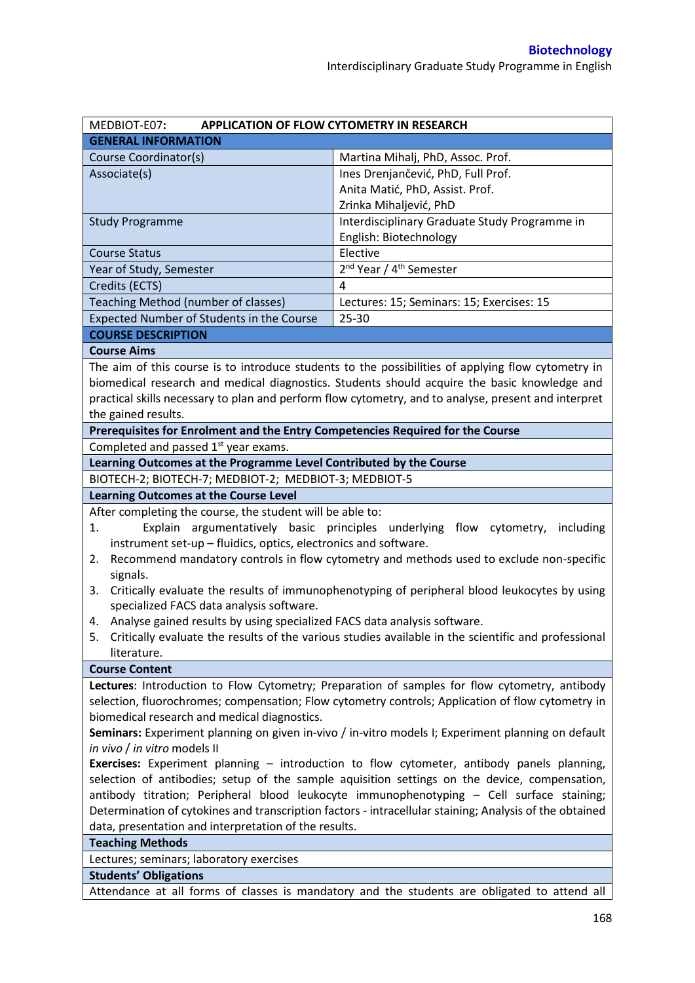| MEDBIOT-E07:                                                                                                                                                                                | <b>APPLICATION OF FLOW CYTOMETRY IN RESEARCH</b>                                                       |  |  |  |
|---------------------------------------------------------------------------------------------------------------------------------------------------------------------------------------------|--------------------------------------------------------------------------------------------------------|--|--|--|
| <b>GENERAL INFORMATION</b>                                                                                                                                                                  |                                                                                                        |  |  |  |
| Course Coordinator(s)                                                                                                                                                                       | Martina Mihalj, PhD, Assoc. Prof.                                                                      |  |  |  |
| Associate(s)                                                                                                                                                                                | Ines Drenjančević, PhD, Full Prof.                                                                     |  |  |  |
|                                                                                                                                                                                             | Anita Matić, PhD, Assist. Prof.                                                                        |  |  |  |
|                                                                                                                                                                                             | Zrinka Mihaljević, PhD                                                                                 |  |  |  |
| <b>Study Programme</b>                                                                                                                                                                      | Interdisciplinary Graduate Study Programme in                                                          |  |  |  |
|                                                                                                                                                                                             | English: Biotechnology                                                                                 |  |  |  |
| <b>Course Status</b>                                                                                                                                                                        | Elective                                                                                               |  |  |  |
| Year of Study, Semester                                                                                                                                                                     | 2 <sup>nd</sup> Year / 4 <sup>th</sup> Semester                                                        |  |  |  |
| Credits (ECTS)                                                                                                                                                                              | 4                                                                                                      |  |  |  |
| Teaching Method (number of classes)                                                                                                                                                         | Lectures: 15; Seminars: 15; Exercises: 15                                                              |  |  |  |
| Expected Number of Students in the Course                                                                                                                                                   | 25-30                                                                                                  |  |  |  |
| <b>COURSE DESCRIPTION</b>                                                                                                                                                                   |                                                                                                        |  |  |  |
| <b>Course Aims</b>                                                                                                                                                                          |                                                                                                        |  |  |  |
|                                                                                                                                                                                             | The aim of this course is to introduce students to the possibilities of applying flow cytometry in     |  |  |  |
|                                                                                                                                                                                             | biomedical research and medical diagnostics. Students should acquire the basic knowledge and           |  |  |  |
|                                                                                                                                                                                             | practical skills necessary to plan and perform flow cytometry, and to analyse, present and interpret   |  |  |  |
| the gained results.                                                                                                                                                                         |                                                                                                        |  |  |  |
| Prerequisites for Enrolment and the Entry Competencies Required for the Course                                                                                                              |                                                                                                        |  |  |  |
| Completed and passed 1 <sup>st</sup> year exams.                                                                                                                                            |                                                                                                        |  |  |  |
| Learning Outcomes at the Programme Level Contributed by the Course                                                                                                                          |                                                                                                        |  |  |  |
| BIOTECH-2; BIOTECH-7; MEDBIOT-2; MEDBIOT-3; MEDBIOT-5                                                                                                                                       |                                                                                                        |  |  |  |
| <b>Learning Outcomes at the Course Level</b>                                                                                                                                                |                                                                                                        |  |  |  |
| After completing the course, the student will be able to:                                                                                                                                   |                                                                                                        |  |  |  |
| 1.                                                                                                                                                                                          | Explain argumentatively basic principles underlying flow cytometry,<br>including                       |  |  |  |
| instrument set-up - fluidics, optics, electronics and software.                                                                                                                             |                                                                                                        |  |  |  |
| Recommend mandatory controls in flow cytometry and methods used to exclude non-specific<br>2.                                                                                               |                                                                                                        |  |  |  |
| signals.                                                                                                                                                                                    |                                                                                                        |  |  |  |
| 3.                                                                                                                                                                                          | Critically evaluate the results of immunophenotyping of peripheral blood leukocytes by using           |  |  |  |
| specialized FACS data analysis software.                                                                                                                                                    |                                                                                                        |  |  |  |
| Analyse gained results by using specialized FACS data analysis software.<br>4.                                                                                                              |                                                                                                        |  |  |  |
|                                                                                                                                                                                             | 5. Critically evaluate the results of the various studies available in the scientific and professional |  |  |  |
| literature.                                                                                                                                                                                 |                                                                                                        |  |  |  |
| <b>Course Content</b>                                                                                                                                                                       |                                                                                                        |  |  |  |
|                                                                                                                                                                                             | Lectures: Introduction to Flow Cytometry; Preparation of samples for flow cytometry, antibody          |  |  |  |
| selection, fluorochromes; compensation; Flow cytometry controls; Application of flow cytometry in                                                                                           |                                                                                                        |  |  |  |
| biomedical research and medical diagnostics.                                                                                                                                                |                                                                                                        |  |  |  |
| Seminars: Experiment planning on given in-vivo / in-vitro models I; Experiment planning on default                                                                                          |                                                                                                        |  |  |  |
| in vivo / in vitro models II                                                                                                                                                                |                                                                                                        |  |  |  |
| Exercises: Experiment planning - introduction to flow cytometer, antibody panels planning,<br>selection of antibodies; setup of the sample aquisition settings on the device, compensation, |                                                                                                        |  |  |  |
| antibody titration; Peripheral blood leukocyte immunophenotyping - Cell surface staining;                                                                                                   |                                                                                                        |  |  |  |
| Determination of cytokines and transcription factors - intracellular staining; Analysis of the obtained                                                                                     |                                                                                                        |  |  |  |
| data, presentation and interpretation of the results.                                                                                                                                       |                                                                                                        |  |  |  |
| <b>Teaching Methods</b>                                                                                                                                                                     |                                                                                                        |  |  |  |
| Lectures; seminars; laboratory exercises                                                                                                                                                    |                                                                                                        |  |  |  |
| <b>Students' Obligations</b>                                                                                                                                                                |                                                                                                        |  |  |  |
|                                                                                                                                                                                             |                                                                                                        |  |  |  |
| Attendance at all forms of classes is mandatory and the students are obligated to attend all                                                                                                |                                                                                                        |  |  |  |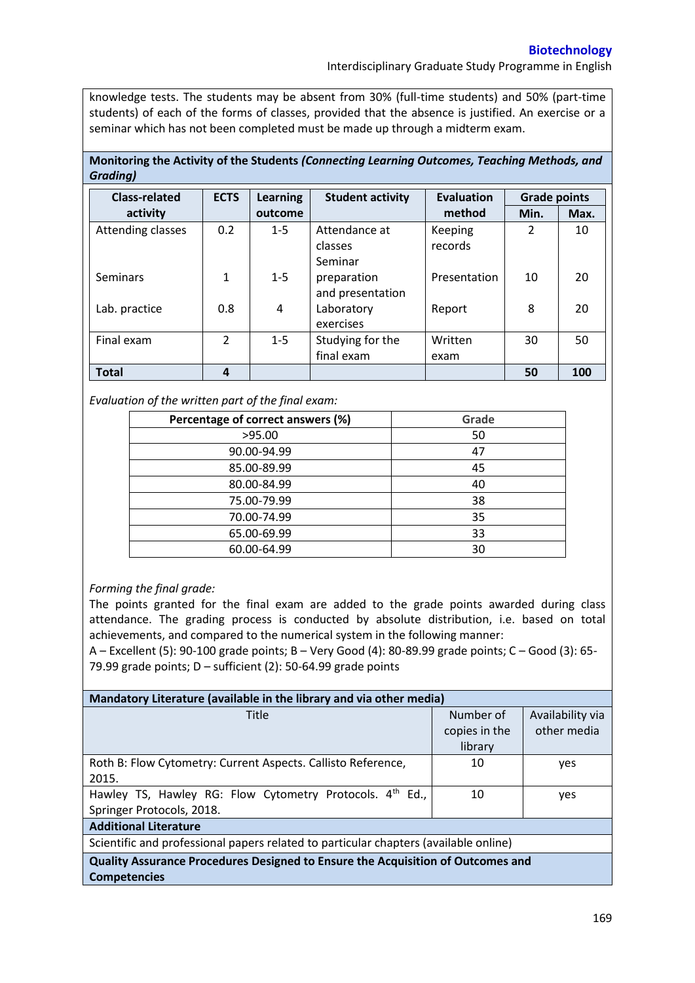Interdisciplinary Graduate Study Programme in English

knowledge tests. The students may be absent from 30% (full-time students) and 50% (part-time students) of each of the forms of classes, provided that the absence is justified. An exercise or a seminar which has not been completed must be made up through a midterm exam.

**Monitoring the Activity of the Students** *(Connecting Learning Outcomes, Teaching Methods, and Grading)*

| <b>Class-related</b> | <b>ECTS</b>   | <b>Learning</b> | <b>Student activity</b> | <b>Evaluation</b> | <b>Grade points</b> |      |
|----------------------|---------------|-----------------|-------------------------|-------------------|---------------------|------|
| activity             |               | outcome         |                         | method            | Min.                | Max. |
| Attending classes    | 0.2           | $1 - 5$         | Attendance at           | Keeping           | $\overline{2}$      | 10   |
|                      |               |                 | classes                 | records           |                     |      |
|                      |               |                 | Seminar                 |                   |                     |      |
| Seminars             | 1             | $1 - 5$         | preparation             | Presentation      | 10                  | 20   |
|                      |               |                 | and presentation        |                   |                     |      |
| Lab. practice        | 0.8           | 4               | Laboratory              | Report            | 8                   | 20   |
|                      |               |                 | exercises               |                   |                     |      |
| Final exam           | $\mathcal{P}$ | $1 - 5$         | Studying for the        | Written           | 30                  | 50   |
|                      |               |                 | final exam              | exam              |                     |      |
| <b>Total</b>         | 4             |                 |                         |                   | 50                  | 100  |

*Evaluation of the written part of the final exam:*

| Percentage of correct answers (%) | Grade |
|-----------------------------------|-------|
| >95.00                            | 50    |
| 90.00-94.99                       | 47    |
| 85.00-89.99                       | 45    |
| 80.00-84.99                       | 40    |
| 75.00-79.99                       | 38    |
| 70.00-74.99                       | 35    |
| 65.00-69.99                       | 33    |
| 60.00-64.99                       | 30    |

## *Forming the final grade:*

The points granted for the final exam are added to the grade points awarded during class attendance. The grading process is conducted by absolute distribution, i.e. based on total achievements, and compared to the numerical system in the following manner:

A – Excellent (5): 90-100 grade points; B – Very Good (4): 80-89.99 grade points; C – Good (3): 65- 79.99 grade points; D – sufficient (2): 50-64.99 grade points

| Mandatory Literature (available in the library and via other media)                    |               |                  |  |  |  |  |
|----------------------------------------------------------------------------------------|---------------|------------------|--|--|--|--|
| <b>Title</b>                                                                           | Number of     | Availability via |  |  |  |  |
|                                                                                        | copies in the | other media      |  |  |  |  |
|                                                                                        | library       |                  |  |  |  |  |
| Roth B: Flow Cytometry: Current Aspects. Callisto Reference,                           | 10            | yes              |  |  |  |  |
| 2015.                                                                                  |               |                  |  |  |  |  |
| Hawley TS, Hawley RG: Flow Cytometry Protocols. 4th Ed.,                               | 10            | yes              |  |  |  |  |
| Springer Protocols, 2018.                                                              |               |                  |  |  |  |  |
| <b>Additional Literature</b>                                                           |               |                  |  |  |  |  |
| Scientific and professional papers related to particular chapters (available online)   |               |                  |  |  |  |  |
| <b>Quality Assurance Procedures Designed to Ensure the Acquisition of Outcomes and</b> |               |                  |  |  |  |  |
| <b>Competencies</b>                                                                    |               |                  |  |  |  |  |